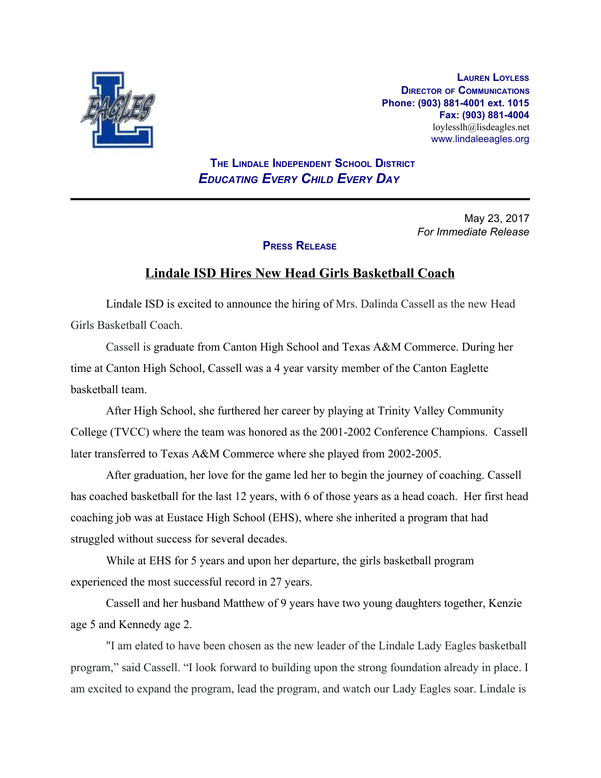

**LAUREN LOYLESS DIRECTOR OF COMMUNICATIONS Phone: (903) 881-4001 ext. 1015 Fax: (903) 881-4004** loylesslh@lisdeagles.net www.lindaleeagles.org

 **THE LINDALE INDEPENDENT SCHOOL DISTRICT** *EDUCATING EVERY CHILD EVERY DAY*

> May 23, 2017 *For Immediate Release*

## **PRESS RELEASE**

## **Lindale ISD Hires New Head Girls Basketball Coach**

Lindale ISD is excited to announce the hiring of Mrs. Dalinda Cassell as the new Head Girls Basketball Coach.

Cassell is graduate from Canton High School and Texas A&M Commerce. During her time at Canton High School, Cassell was a 4 year varsity member of the Canton Eaglette basketball team.

After High School, she furthered her career by playing at Trinity Valley Community College (TVCC) where the team was honored as the 2001-2002 Conference Champions. Cassell later transferred to Texas A&M Commerce where she played from 2002-2005.

After graduation, her love for the game led her to begin the journey of coaching. Cassell has coached basketball for the last 12 years, with 6 of those years as a head coach. Her first head coaching job was at Eustace High School (EHS), where she inherited a program that had struggled without success for several decades.

While at EHS for 5 years and upon her departure, the girls basketball program experienced the most successful record in 27 years.

Cassell and her husband Matthew of 9 years have two young daughters together, Kenzie age 5 and Kennedy age 2.

"I am elated to have been chosen as the new leader of the Lindale Lady Eagles basketball program," said Cassell. "I look forward to building upon the strong foundation already in place. I am excited to expand the program, lead the program, and watch our Lady Eagles soar. Lindale is